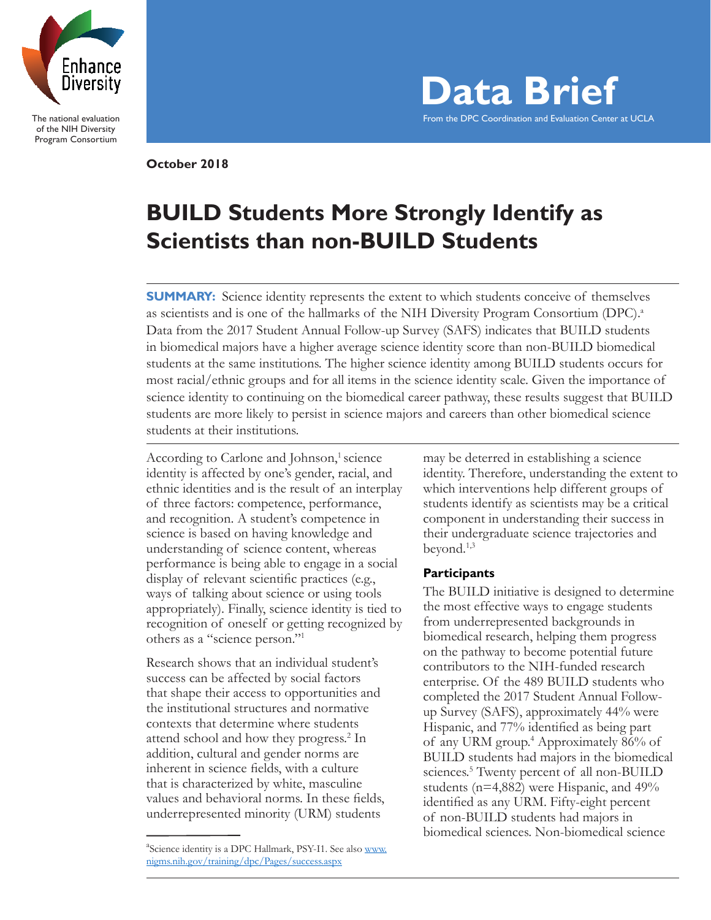

The national evaluation of the NIH Diversity Program Consortium

**Data Brief** From the DPC Coordination and Evaluation Center at UCLA

**October 2018**

# **BUILD Students More Strongly Identify as Scientists than non-BUILD Students**

**SUMMARY:** Science identity represents the extent to which students conceive of themselves as scientists and is one of the hallmarks of the NIH Diversity Program Consortium (DPC).<sup>a</sup> Data from the 2017 Student Annual Follow-up Survey (SAFS) indicates that BUILD students in biomedical majors have a higher average science identity score than non-BUILD biomedical students at the same institutions. The higher science identity among BUILD students occurs for most racial/ethnic groups and for all items in the science identity scale. Given the importance of science identity to continuing on the biomedical career pathway, these results suggest that BUILD students are more likely to persist in science majors and careers than other biomedical science students at their institutions.

According to Carlone and Johnson,<sup>1</sup> science identity is affected by one's gender, racial, and ethnic identities and is the result of an interplay of three factors: competence, performance, and recognition. A student's competence in science is based on having knowledge and understanding of science content, whereas performance is being able to engage in a social display of relevant scientific practices (e.g., ways of talking about science or using tools appropriately). Finally, science identity is tied to recognition of oneself or getting recognized by others as a "science person."1

Research shows that an individual student's success can be affected by social factors that shape their access to opportunities and the institutional structures and normative contexts that determine where students attend school and how they progress.<sup>2</sup> In addition, cultural and gender norms are inherent in science fields, with a culture that is characterized by white, masculine values and behavioral norms. In these fields, underrepresented minority (URM) students

may be deterred in establishing a science identity. Therefore, understanding the extent to which interventions help different groups of students identify as scientists may be a critical component in understanding their success in their undergraduate science trajectories and beyond.1,3

## **Participants**

The BUILD initiative is designed to determine the most effective ways to engage students from underrepresented backgrounds in biomedical research, helping them progress on the pathway to become potential future contributors to the NIH-funded research enterprise. Of the 489 BUILD students who completed the 2017 Student Annual Followup Survey (SAFS), approximately 44% were Hispanic, and 77% identified as being part of any URM group.4 Approximately 86% of BUILD students had majors in the biomedical sciences.<sup>5</sup> Twenty percent of all non-BUILD students (n=4,882) were Hispanic, and 49% identified as any URM. Fifty-eight percent of non-BUILD students had majors in biomedical sciences. Non-biomedical science

<sup>&</sup>lt;sup>a</sup>Science identity is a DPC Hallmark, PSY-I1. See also www. nigms.nih.gov/training/dpc/Pages/success.aspx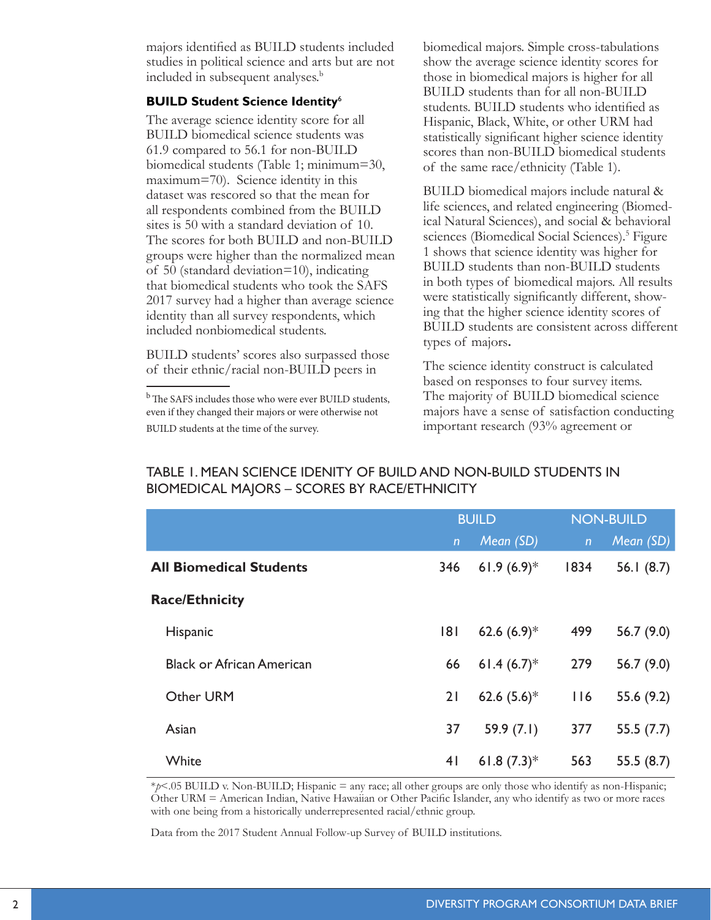majors identified as BUILD students included studies in political science and arts but are not included in subsequent analyses.<sup>b</sup>

#### **BUILD Student Science Identity**<sup>6</sup>

The average science identity score for all BUILD biomedical science students was 61.9 compared to 56.1 for non-BUILD biomedical students (Table 1; minimum=30, maximum=70). Science identity in this dataset was rescored so that the mean for all respondents combined from the BUILD sites is 50 with a standard deviation of 10. The scores for both BUILD and non-BUILD groups were higher than the normalized mean of 50 (standard deviation=10), indicating that biomedical students who took the SAFS 2017 survey had a higher than average science identity than all survey respondents, which included nonbiomedical students.

BUILD students' scores also surpassed those of their ethnic/racial non-BUILD peers in

biomedical majors. Simple cross-tabulations show the average science identity scores for those in biomedical majors is higher for all BUILD students than for all non-BUILD students. BUILD students who identified as Hispanic, Black, White, or other URM had statistically significant higher science identity scores than non-BUILD biomedical students of the same race/ethnicity (Table 1).

BUILD biomedical majors include natural & life sciences, and related engineering (Biomedical Natural Sciences), and social & behavioral sciences (Biomedical Social Sciences).<sup>5</sup> Figure 1 shows that science identity was higher for BUILD students than non-BUILD students in both types of biomedical majors. All results were statistically significantly different, showing that the higher science identity scores of BUILD students are consistent across different types of majors**.**

The science identity construct is calculated based on responses to four survey items. The majority of BUILD biomedical science majors have a sense of satisfaction conducting important research (93% agreement or

|                                  | <b>BUILD</b>   |                           | <b>NON-BUILD</b> |              |
|----------------------------------|----------------|---------------------------|------------------|--------------|
|                                  | $\overline{n}$ | Mean (SD)                 | $\mathsf{n}$     | Mean (SD)    |
| <b>All Biomedical Students</b>   | 346            | 61.9 $(6.9)^*$            | 1834             | 56.1 $(8.7)$ |
| <b>Race/Ethnicity</b>            |                |                           |                  |              |
| Hispanic                         | 181            | 62.6 $(6.9)*$             | 499              | 56.7 $(9.0)$ |
| <b>Black or African American</b> | 66             | 61.4 $(6.7)^*$            | 279              | 56.7 $(9.0)$ |
| Other URM                        | 21             | 62.6 $(5.6)^*$            | 116              | 55.6 (9.2)   |
| Asian                            | 37             | 59.9 $(7.1)$              | 377              | 55.5(7.7)    |
| White                            | 4 <sub>1</sub> | 61.8 $(7.3)$ <sup>*</sup> | 563              | 55.5(8.7)    |

# TABLE 1. MEAN SCIENCE IDENITY OF BUILD AND NON-BUILD STUDENTS IN BIOMEDICAL MAJORS – SCORES BY RACE/ETHNICITY

\**p*<.05 BUILD v. Non-BUILD; Hispanic = any race; all other groups are only those who identify as non-Hispanic; Other URM = American Indian, Native Hawaiian or Other Pacific Islander, any who identify as two or more races with one being from a historically underrepresented racial/ethnic group.

Data from the 2017 Student Annual Follow-up Survey of BUILD institutions.

<sup>&</sup>lt;sup>b</sup> The SAFS includes those who were ever BUILD students, even if they changed their majors or were otherwise not BUILD students at the time of the survey.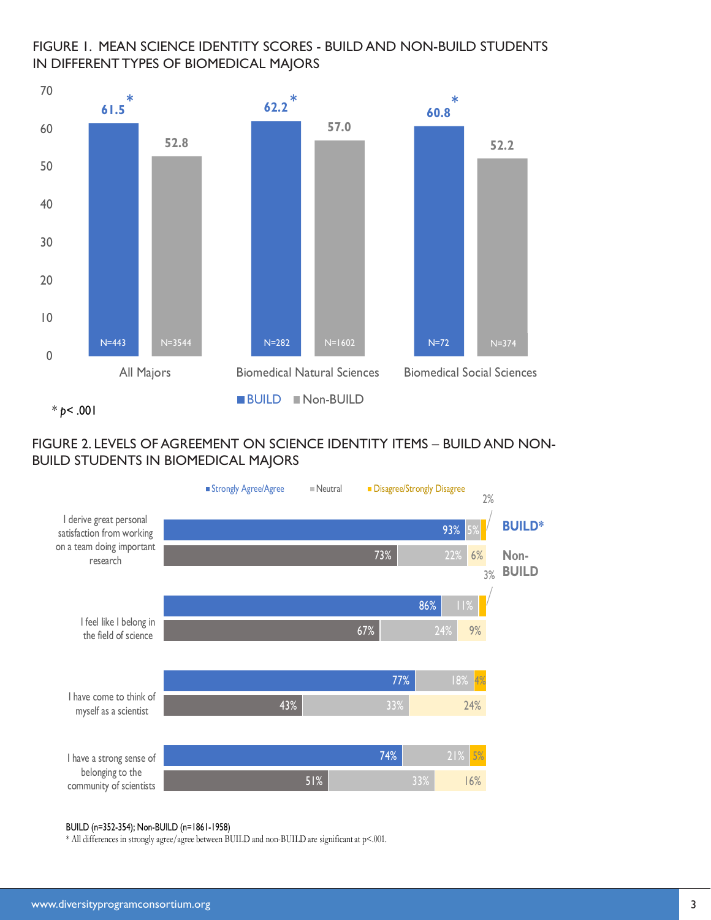# FIGURE 1. MEAN SCIENCE IDENTITY SCORES - BUILD AND NON-BUILD STUDENTS IN DIFFERENT TYPES OF BIOMEDICAL MAJORS



 $*_{p}$  < .001

# FIGURE 2. LEVELS OF AGREEMENT ON SCIENCE IDENTITY ITEMS – BUILD AND NON-BUILD STUDENTS IN BIOMEDICAL MAJORS



#### BUILD (n=352-354); Non-BUILD (n=1861-1958)

\* All differences in strongly agree/agree between BUILD and non-BUILD are significant at p<.001.